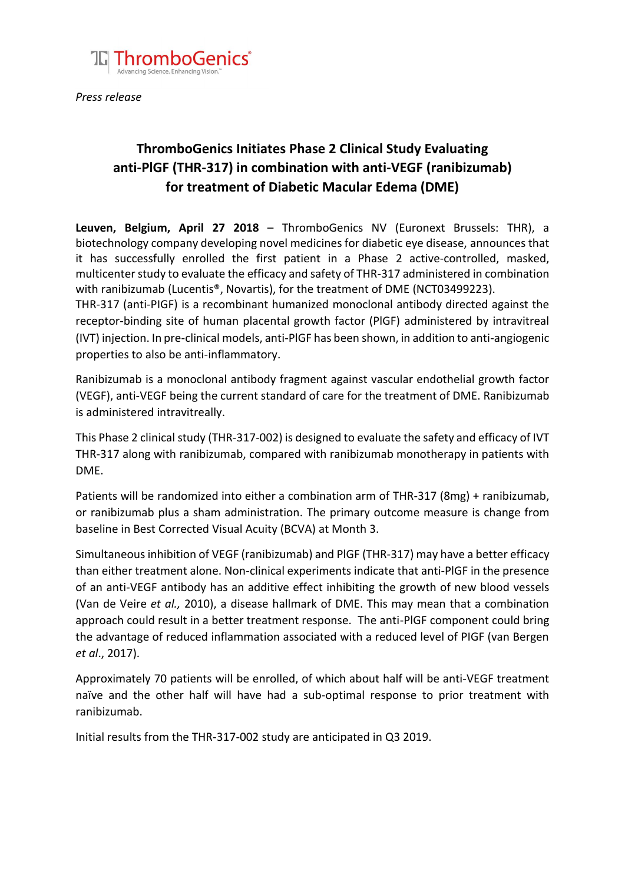

*Press release* 

## **ThromboGenics Initiates Phase 2 Clinical Study Evaluating anti-PlGF (THR-317) in combination with anti-VEGF (ranibizumab) for treatment of Diabetic Macular Edema (DME)**

**Leuven, Belgium, April 27 2018** – ThromboGenics NV (Euronext Brussels: THR), a biotechnology company developing novel medicines for diabetic eye disease, announces that it has successfully enrolled the first patient in a Phase 2 active-controlled, masked, multicenter study to evaluate the efficacy and safety of THR-317 administered in combination with ranibizumab (Lucentis®, Novartis), for the treatment of DME (NCT03499223).

THR-317 (anti-PIGF) is a recombinant humanized monoclonal antibody directed against the receptor-binding site of human placental growth factor (PlGF) administered by intravitreal (IVT) injection. In pre-clinical models, anti-PlGF has been shown, in addition to anti-angiogenic properties to also be anti-inflammatory.

Ranibizumab is a monoclonal antibody fragment against vascular endothelial growth factor (VEGF), anti-VEGF being the current standard of care for the treatment of DME. Ranibizumab is administered intravitreally.

This Phase 2 clinical study (THR-317-002) is designed to evaluate the safety and efficacy of IVT THR-317 along with ranibizumab, compared with ranibizumab monotherapy in patients with DME.

Patients will be randomized into either a combination arm of THR-317 (8mg) + ranibizumab, or ranibizumab plus a sham administration. The primary outcome measure is change from baseline in Best Corrected Visual Acuity (BCVA) at Month 3.

Simultaneous inhibition of VEGF (ranibizumab) and PlGF (THR-317) may have a better efficacy than either treatment alone. Non-clinical experiments indicate that anti-PlGF in the presence of an anti-VEGF antibody has an additive effect inhibiting the growth of new blood vessels (Van de Veire *et al.,* 2010), a disease hallmark of DME. This may mean that a combination approach could result in a better treatment response. The anti-PlGF component could bring the advantage of reduced inflammation associated with a reduced level of PIGF (van Bergen *et al*., 2017).

Approximately 70 patients will be enrolled, of which about half will be anti-VEGF treatment naïve and the other half will have had a sub-optimal response to prior treatment with ranibizumab.

Initial results from the THR-317-002 study are anticipated in Q3 2019.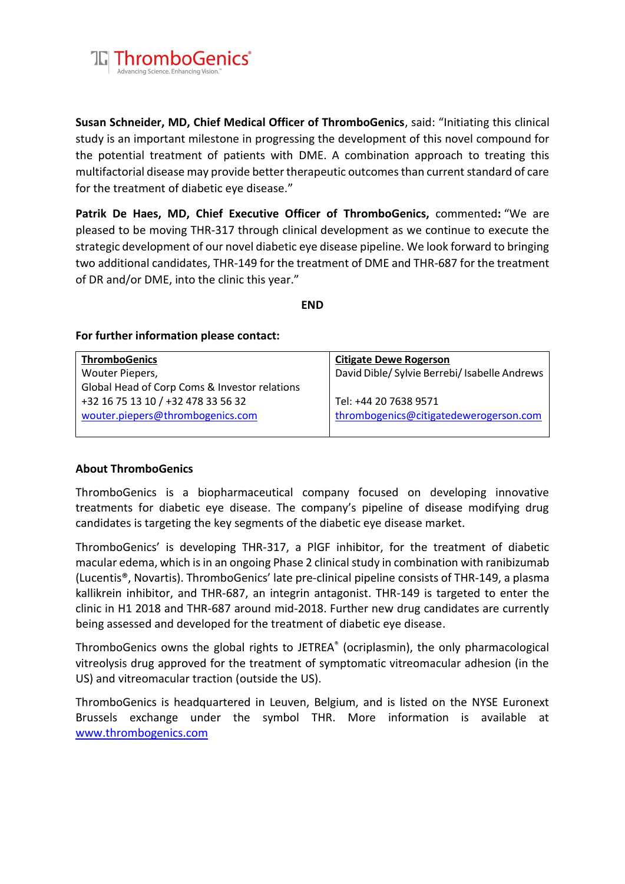

**Susan Schneider, MD, Chief Medical Officer of ThromboGenics**, said: "Initiating this clinical study is an important milestone in progressing the development of this novel compound for the potential treatment of patients with DME. A combination approach to treating this multifactorial disease may provide better therapeutic outcomes than current standard of care for the treatment of diabetic eye disease."

**Patrik De Haes, MD, Chief Executive Officer of ThromboGenics,** commented**:** "We are pleased to be moving THR-317 through clinical development as we continue to execute the strategic development of our novel diabetic eye disease pipeline. We look forward to bringing two additional candidates, THR-149 for the treatment of DME and THR-687 for the treatment of DR and/or DME, into the clinic this year."

**END**

## **For further information please contact:**

| <b>ThromboGenics</b>                          | <b>Citigate Dewe Rogerson</b>                 |
|-----------------------------------------------|-----------------------------------------------|
| Wouter Piepers,                               | David Dible/ Sylvie Berrebi/ Isabelle Andrews |
| Global Head of Corp Coms & Investor relations |                                               |
| +32 16 75 13 10 / +32 478 33 56 32            | Tel: +44 20 7638 9571                         |
| wouter.piepers@thrombogenics.com              | thrombogenics@citigatedewerogerson.com        |
|                                               |                                               |

## **About ThromboGenics**

ThromboGenics is a biopharmaceutical company focused on developing innovative treatments for diabetic eye disease. The company's pipeline of disease modifying drug candidates is targeting the key segments of the diabetic eye disease market.

ThromboGenics' is developing THR-317, a PlGF inhibitor, for the treatment of diabetic macular edema, which is in an ongoing Phase 2 clinical study in combination with ranibizumab (Lucentis®, Novartis). ThromboGenics' late pre-clinical pipeline consists of THR-149, a plasma kallikrein inhibitor, and THR-687, an integrin antagonist. THR-149 is targeted to enter the clinic in H1 2018 and THR-687 around mid-2018. Further new drug candidates are currently being assessed and developed for the treatment of diabetic eye disease.

ThromboGenics owns the global rights to JETREA® (ocriplasmin), the only pharmacological vitreolysis drug approved for the treatment of symptomatic vitreomacular adhesion (in the US) and vitreomacular traction (outside the US).

ThromboGenics is headquartered in Leuven, Belgium, and is listed on the NYSE Euronext Brussels exchange under the symbol THR. More information is available at [www.thrombogenics.com](http://www.thrombogenics.com/)